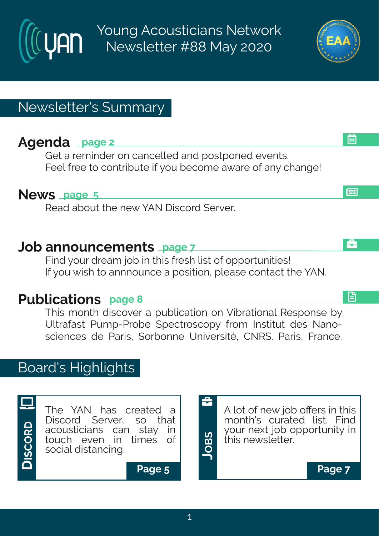Young Acousticians Network Newsletter #88 May 2020

# Newsletter's Summary

# **Agenda page 2**

Get a reminder on cancelled and postponed events. Feel free to contribute if you become aware of any change!

### **News page 5**

Read about the new YAN Discord Server.

### **Job announcements page 7**

Find your dream job in this fresh list of opportunities! If you wish to annnounce a position, please contact the YAN.

# **Publications page 8**

This month discover a publication on Vibrational Response by Ultrafast Pump-Probe Spectroscopy from Institut des Nanosciences de Paris, Sorbonne Université, CNRS. Paris, France.

## Board's Highlights



The YAN has created a<br>Discord Server, so that Discord Server, acousticians can stay in<br>touch even in times of touch even in times social distancing.





画

l⊞

£



**Page 5 Page 7**

**J**

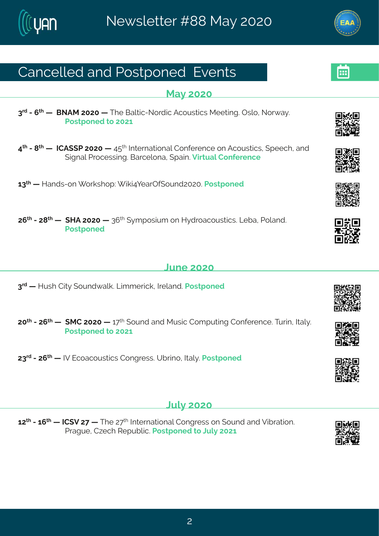### Her gi poi h#er h#Uswat srih#Uzir xw

#### $Re\}$ #575

8<sup>vh</sup>#2#; <sup>x|</sup> # #AGSFR#7575# #XIi#Gepxng2Ssvhng#Fgsywxngw#Riixmk?第Twps1#Ssv{e}3# Us wat srih#s $#576#$ 

9<sup>xl</sup> #244 4 #HNHF ((U#7575# #9: <sup>xl</sup> #Ntxivrexmsrep#Hsrjivirgi#sr#Fgsywxmgw/#, tiigl #erh# (mkrep#Uvsqiwwmk3#Gevqipsre#(temn3Zmxyep#Hsrjivirgi

68<sup>x|</sup> # #Merhw2sr# svow| st # mom9|ievTj(syrh7575\$Uswxtsrih

7;  $\frac{\cancel{x}}{1}$  #2#7= $\cancel{x}$  # # MF#7575 # #8;  $\cancel{x}$  # } q t swm, q #sr #M} h vseqsywmon w34Q f e 1#J sperh 3# I Is wat srih#

#### Qri#575

8<sup>vh</sup># #Mywl#Hmx}#(syrh{epo3#Qmoq iwngo\*#Niperh3#Jswxtsrih

75<sup>xl</sup>#247;<sup>x|</sup>#1|#tRH#7575#|#6<<sup>x|</sup>#tsyrh#erh#Rywm**q#-lsqtyxnnk#-lsrjivirgi3Xyvnn1#Nep}**3# Us wat sriht#s#7576#

78<sup>vh</sup>#247; <sup>x|</sup> #1 #3Z#Jgsegsyw**xgw#**Hsrkviww3AYfwns#Nep}3#Jswxtsrih

#### $Q$ <sub>/</sub> $\frac{1}{2}$ / $\frac{1}{2}$ / $\frac{5}{2}$ / $\frac{5}{2}$

 $67^{\text{M}}$ #246;  $^{\text{M}}$ # #NH(Z#7<##XHi#7< $^{\text{M}}$ #Naxivrexmsrep#Hsrkviww#sr#syrh#erh#Zmfnvexmsr3# Uveky i 14H-igl #W ty fpog3Us wat srih#s#Dyp}#7576

 $#$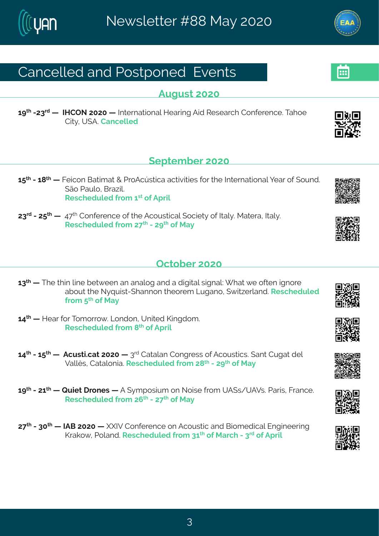### Hergippih#erh#Uswatsrih#Uzirxw

**Fvkvw#575** 

6 x #278 h # # # # WIHTS #7575 # # N xi vrexms rep# Nie vnnk # F mh # N' wie vgl # Hsrji virgi 33 Kelsi # Hn NHY (F<sup>3H</sup>er gi poi h

### $($ itxig fiv $#$ 575

6:  $\frac{1}{2}$  #246= $\frac{1}{2}$  # #Kingsr#Gexno, ex# #UsFgáw-nge#egxnzm.miv#jsv# li#ndxi vrexnsrep#jiev#sj#(syrh3#  $($  Es#Jevos #Gve~mos# W wgl i hypi h#vsq #6<sup>w</sup>#si#Ft wmp

78<sup>√</sup> 12247: <sup>√</sup> # #19<<sup>∤</sup> #Hsrjivirgi#sj#vli#Fgsywmogep#; sgmix}#sj#Nep}39Rexive#Nep}3# W wal i hvn h#vsa  $\frac{m}{2}$   $\frac{m}{2}$   $\frac{m}{2}$   $\frac{m}{2}$   $\frac{m}{2}$   $\frac{m}{2}$   $\frac{m}{2}$   $\frac{m}{2}$ 

#### Taxsfiv#575

- $68^{\text{nd}}$  #  $\#$ N i# km#pm i# ix{ iir#er#erepsk#erh#e#hnkn neep#whknrep# lex# i#sjxir#knrsvi# efsyx#Ni#S}uymw=2(lerrsr#Nisviq#Qykers1#{ma-iyperh31W' wqlihypih#  $|vsq #$ <sup>\*</sup> $h$ <sub>i</sub> $Re$ }
- 69<sup>x</sup> # #Miev#sv#Xsqsvvs{3#Cosrhsr1#Yrmxih#Pnnkhsq3# W wglihypih#vsq# \* #si#Ft wmp
- 69<sup>xl</sup> #246: <sup>xl</sup> # # Flaywxnotex #7575# #8<sup>vh</sup>#Hexeper #Hsrkviww#sj#Fasywxnotw \$ (er x#Hykex4hip# Zepp i w#Hexeps rme3 \* Will i hypih# vsq  $m = 4$  # 2#  $> 4$  # i # Re }

6 >  $\frac{1}{2}$  #24776  $\frac{1}{4}$  #V y m x # vsriw # #F # } q t swmn q #sr#Ssmwi# vsq #YF (w4YF Zw& Uewnw #K vergi 3 W wal i hypih# vsq  $\frac{\pi}{4}$ ;  $\frac{4}{2}$   $\frac{\pi}{2}$   $\frac{4}{3}$   $\frac{\pi}{2}$   $\frac{4}{3}$   $\frac{\pi}{2}$   $\frac{4}{3}$   $\frac{\pi}{2}$   $\frac{\pi}{2}$ 

7 < \* #2#85 \* # #NFG#7575 # # \NZ#Hsrjivirgi#sr#Fgsywwng#erh#Gnsq ihmgep#Jrkm\_iiwnk# Pveos{#Usperh3W walih voih#vsq#86<sup>d</sup>#si#Reval#2#8<sup>vh</sup>#si#Ft vmp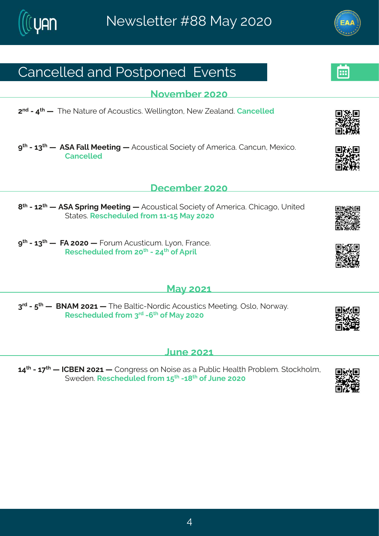## Her gi poi h#er h#Uswat srih#Uzir xw

Sszi q f i v#575

7<sup>rh</sup>#2#9<sup>x|</sup># #AXIi#Sexyvi#sj#Fgsywwmgw@# ipponkxsr1#Si{#^ieperh3#Hergippih

> #2468 # #F (F#Kepp#Rii xmk# #Fgsywxngep#sgmix); #si#Fq i vnge 3# lergyr #Ri|ngs 3# Her gi p ih

#### $\frac{1}{2}$ i gi g f i v#575

- = \*#2#67 \*# #F (F#, tvm k#R iixm k# #Fgsywxngep#, sgninx}#sj#Fq ivnge 3#Hlmgeks1#Yrmaih# (xexi w3W wgl i hypi h#vsq #6626: #Re} #7575
- > #2468 # #KF#7575# #Kswq#Fqywxmqyq 3AQ sr #Kvergi 3# W wglihypih#vsq #75<sup>x|</sup> #2#79<sup>x|</sup> #sj#Ft wpq

 $#$ 

 $#$ 

### Re}#576

8<sup>th</sup>#2#<sup>x|</sup>##HGSFR#7576##Xli#Gepxmg2Ssvhmg#Fgsywxngw#Riixmk3#Twps1#Ssv{e}3# W wgl i hypi h#vsq #8<sup>vh</sup>#2; <sup>x</sup> #sj#Re}#7575#

### Qri#576

69<sup>xl</sup> #246<<sup>xl</sup> # #HHGJS#7576# #Hsrkviww#sr#Ssmwi#ew#e#Uyfpng#Miep 4 #Uwsfpiq 3#xsgolspq #  $($  i hi r  $\frac{20}{20}$  vigil i hypih# vsq #6:  $\frac{1}{20}$   $\frac{1}{20}$   $\frac{1}{20}$   $\frac{1}{20}$   $\frac{1}{20}$   $\frac{1}{20}$   $\frac{1}{20}$   $\frac{1}{20}$   $\frac{1}{20}$   $\frac{1}{20}$   $\frac{1}{20}$   $\frac{1}{20}$   $\frac{1}{20}$   $\frac{1}{20}$   $\frac{1}{20}$   $\frac{1}{20}$ 

 $#$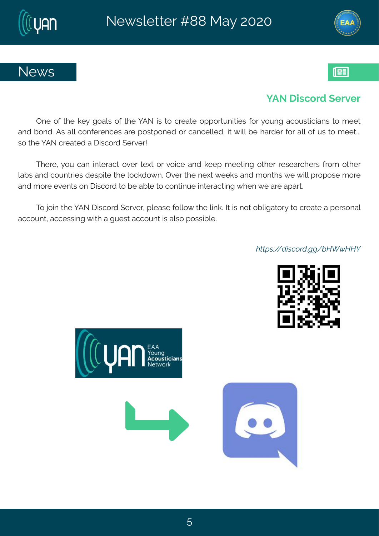

### ] FS# mgsvh# i vzi v

Tri#sj#Ali#oi}#ksepw#sj#Ali#]FS#mw#xs#gviexi#sttsvxyrmxmivw#jsv#}syrk#egsywxmgnerw#xs#qiix# er h#f srh3dFw#epd#gsrjivirgiw#evi#t swot srih#sv#gergippih1#ma#{mpd#fi#levhiv#jsv#epd#sj#yw#xs#q iix33# ws#N i#FS#qviexih#e# mwqsvh# ivziv\$

Xlivi1#} sy#ger#mnxivegx#sziv#xi|x#sw#zsmgi#erh#oiit#qiixmnk#sxliv#vievglivw#jvsq#sxliv# pefw#erh#gsyrxwmw#hiwtmai#kli#psgohs{r3#Tziv#kli#ti|x#{iiow#erh#gsrxlw#{i#(mpo#tvstswi#gsvi# er h#g svi#zir xw#sr# mwgsvh#xs#li#ef pi#xs#gsr xnnyi#nnxivegxnnk#lir#i#evi#et evx3

Xs#nsm# bi# FS# mngsvh# ivziv#tpiewi#spos{#vli#pmo@#nx#mw# sx#sfpnkexsv}#xs#gviexi#e#tiwsrep# eggsyrx#eggiwwnnk# mol#e#kyiw#eggsyrx#w#epws#swwmfpi3

WE · ö · ù [· î " <sup>2</sup>ù ¢ L - å b » ó b b Ä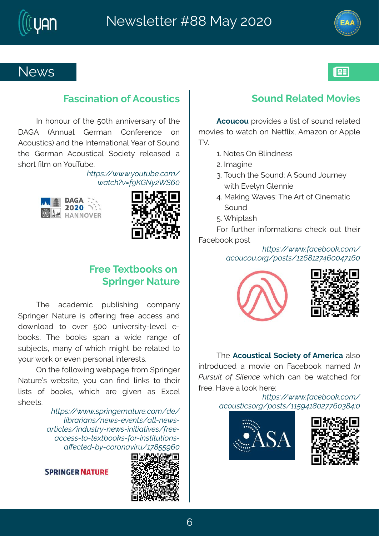### Si { w

### Kewgmexrar #j#gsywxrgw

Nt#I srsyv#sj# wli#: 5xl #errnziwev}#sj# wli# IFLF# - Frryep# Livqer# Hsrjivirgi# sr# Fasywomow #erh#vli#Ntxivrexmsrep#liev#si#syrh# xli#Livq er#Fgsywngep# (sgmix}# vipiewih#e# wlsw#Pocn#sr#lsvXvfi3#

 $W\rightarrow{\ddot{m}}$   $\cdot$   $\ddot{\theta}$   $\rightarrow$   $\dot{\theta}$   $\dot{\theta}$   $\dot{\theta}$   $\ddot{\theta}$   $\ddot{\theta}$ .  $\ddot{\theta}$   $\ddot{\theta}$   $\ddot{\theta}$   $\ddot{\theta}$   $\ddot{\theta}$   $\ddot{\theta}$   $\ddot{\theta}$   $\ddot{\theta}$   $\ddot{\theta}$   $\ddot{\theta}$   $\ddot{\theta}$   $\ddot{\theta}$   $\ddot{\theta}$   $\ddot{\theta}$   $\ddot{\theta}$   $\ddot{\theta}$   $\dd$ ó ĐẾ Wò6; $\sim$ uZ, úÕ £Ä&

### Kvii#X | xf ssow#sr# (t vmki v<sup>#S</sup>exy vi

XI i # eqehiq rq# t yf prowl m k # q sq t er  $\}$  # (t vmki v#Sexy vi #mw#sOi vmk#jvi i #eggi ww#er h# hs{ rpseh#xs#sziv#:55#yrmzivwno}2pizip#i2 fssow $\frac{2}{3}$ XI i #fssow #wter#e#{ mhi#verki#sj# wyf nigxw1#q er }#sj#{l ng|#q nk|x#f i#vipexih#xs# } syv# svo#sv# zir# i wwsrep#mxiviwxw8

Tr#vli#|spos{mnk#{ifteki#|vsq#(tvmnkiv# Sexy vi o what if wonith syttger #Prh #pono w #xs #xl in w #  $\frac{1}{2}$  powers of  $\frac{1}{2}$  if f ssow  $\frac{1}{2}$  if  $\frac{1}{2}$  ing if  $\frac{1}{2}$  exists  $\frac{1}{2}$  if  $\frac{1}{2}$  if  $\frac{1}{2}$  if  $\frac{1}{2}$  if  $\frac{1}{2}$  if  $\frac{1}{2}$  if  $\frac{1}{2}$  if  $\frac{1}{2}$  if  $\frac{1}{2}$  if  $\frac{1}{2}$  if  $\frac{$ whii xw<sub>8</sub>

> $W\rightarrow{\mathbf{B}}$   $\cdot$   $\ddot{\mathbf{o}}$   $\dot{\mathbf{o}}$   $\dot{\mathbf{o}}$   $\mathbf{o}$   $\mathbf{e}$   $\cdot$   $\mathbf{e}$   $\mathbf{e}$   $\mathbf{E}$   $\mathbf{E}$   $\mathbf{E}$   $\mathbf{E}$   $\mathbf{E}$   $\mathbf{E}$   $\mathbf{E}$   $\mathbf{E}$   $\mathbf{E}$   $\mathbf{E}$   $\mathbf{E}$   $\mathbf{E}$   $\mathbf{E}$   $\mathbf{E}$   $\mathbf{E}$ Ka<sup>2</sup>D<sup>2</sup>[Dx · - x \$6 · Z\$o\$x E - DKz x \$6 · Z Đ<sup>e</sup>ftī KS. - kù Ù ÊúZx\$ó · ZIX FEDEOS · - 2\$\$Z Đî î \$ · ZÊ, ZÊ\$ùÊa,, ,, h · Z ,, <sup>2</sup>Z x · LÊLÊUÊ, x · Z  $E \leq$ \$î  $\hat{B}$ ù Zåú $\overline{A}$ ,  $\frac{2}{3}$ , x $E$ ò $\overline{I^2}$ Ù $\rightarrow$  i, AA $\sim$ Ä&

### $(syrh$ #W pexih#Rszmw

Fgsygsy# vszmhiw#e#ww#sj#wsyrh#vipexih# q szmiw#xs# exal#sr#SixQm1#Fq e~sr#sw#Fttpi#  $XZ3H$ 

63≴Ssxiw#Tr#Gomhriww  $73M$  ekmi# 833×sygl#xli#(syrh?#F#(syrh#Osyvri}# #### pol#Jzip}r#Lpirrmin# 93 Reomk# ezi w?XI i #Fw#sj#Hmiq exmo# ### syrh# : 3# I mipewi Ksv#jyvxli v#mjsvq exmsrw#gligo#syx#xlimw#

Kegifsso#swx Đĩ "Ù "Ù «2L- » "· Ê- ÕÄ »Õ;HÄ&&H; •Ä&

XI i # Fasy wangep# samix } # si # Fa i vnge#epws# mashygih#e#qszm#sr#Kegifsso#regih#fxÈ ivii 3Mezi#e#sso#livi?

 $\overrightarrow{D}$ î " Ù  $\hat{H}$ î - " <sup>2</sup>L—• " · Ê—••A~H•, & $\tilde{Q}$ i, ¿Ä&Ï, H&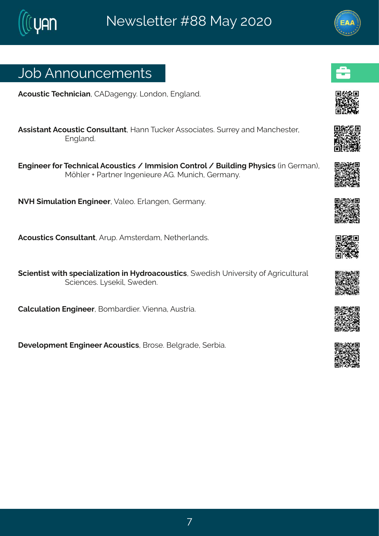## Osf#Frrsyrgiqirxw

Fasyword #X al ringmer #HFI ekink} 36G srhsr#Urkperh3

Fww.mw.erx#Fgsyw.xmg#Hsrwypxerx1#Merr#Xygoiv#Fww.sgnexivoxtywi}#erh#Rergliwxiv1# Jrknerh3

Jrkmiiw#sv#XigIrmgep#Fgsywxmgw#4#Nqqmwnsr#Hsrxvsp#4#Gymphmk#Ul}wmgw#mm#Livqer.1# RÝIpiv#O#Jewriv#Nikirmiyvi#FL3#Ryrmgl#Livqer}3

SZM# mg y pexms r#Jrkm i iv #Zepis 3#J vperk i r#L ivger} 3

Fasywormouthsrwypxerx14Fwt3Fqwoivheq14Sixlivperhw3

(gmir xnows# nxl#wtignephexnsr#m#M}h vsegsywxngw#{ih mol#Yrnziwnx}#sj#Fkwngypxyvep# (gmir gi wo SQ wi on polit { i hi r 3

Heppypexmar#Jrkmiiv#Gsqfevhmiv3zEmirre#Fyww.me3

lizipstqirx#Jrkmiiv#Fgsywxngw1#Gvswi3#Gipkvehi1#,ivfme3